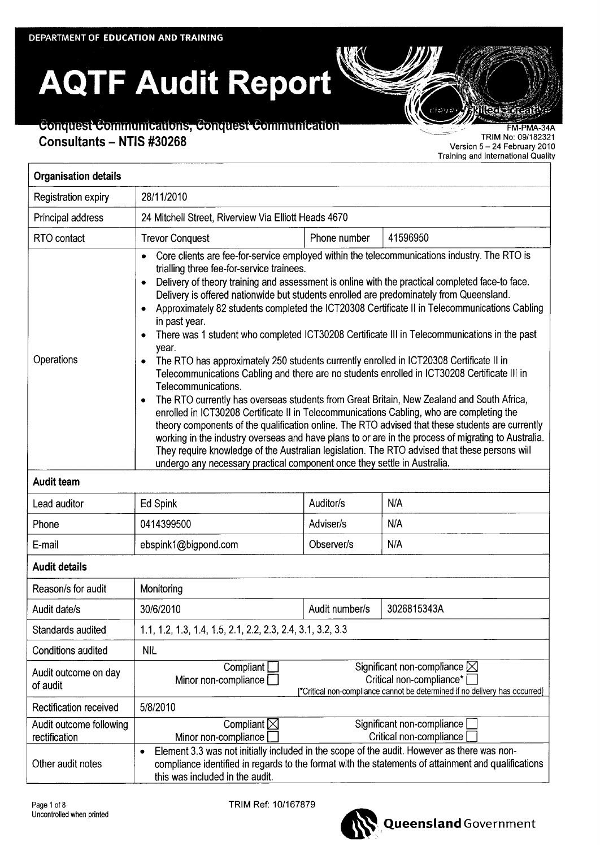# **AQTF Audit Report**

# Conquest Communications, Conquest Communication **Consultants — NTIS #30268**

FM−PMA−34A TRIM No: 09/182321 Version 5 −24 February 2010 Training and International Quality

લિવ લાગી

| <b>Organisation details</b>              |                                                                                                                                                                                                                                                                                                                                                                                                                                                                                                                                                                                                                                                                                                                                                                                                                                                                                                                                                                                                                                                                                                                                                                                                                                                                                                                                                                                                                                 |                |                                                       |  |
|------------------------------------------|---------------------------------------------------------------------------------------------------------------------------------------------------------------------------------------------------------------------------------------------------------------------------------------------------------------------------------------------------------------------------------------------------------------------------------------------------------------------------------------------------------------------------------------------------------------------------------------------------------------------------------------------------------------------------------------------------------------------------------------------------------------------------------------------------------------------------------------------------------------------------------------------------------------------------------------------------------------------------------------------------------------------------------------------------------------------------------------------------------------------------------------------------------------------------------------------------------------------------------------------------------------------------------------------------------------------------------------------------------------------------------------------------------------------------------|----------------|-------------------------------------------------------|--|
| Registration expiry                      | 28/11/2010                                                                                                                                                                                                                                                                                                                                                                                                                                                                                                                                                                                                                                                                                                                                                                                                                                                                                                                                                                                                                                                                                                                                                                                                                                                                                                                                                                                                                      |                |                                                       |  |
| Principal address                        | 24 Mitchell Street, Riverview Via Elliott Heads 4670                                                                                                                                                                                                                                                                                                                                                                                                                                                                                                                                                                                                                                                                                                                                                                                                                                                                                                                                                                                                                                                                                                                                                                                                                                                                                                                                                                            |                |                                                       |  |
| RTO contact                              | <b>Trevor Conquest</b>                                                                                                                                                                                                                                                                                                                                                                                                                                                                                                                                                                                                                                                                                                                                                                                                                                                                                                                                                                                                                                                                                                                                                                                                                                                                                                                                                                                                          | Phone number   | 41596950                                              |  |
| Operations                               | Core clients are fee-for-service employed within the telecommunications industry. The RTO is<br>trialling three fee-for-service trainees.<br>Delivery of theory training and assessment is online with the practical completed face-to face.<br>$\bullet$<br>Delivery is offered nationwide but students enrolled are predominately from Queensland.<br>Approximately 82 students completed the ICT20308 Certificate II in Telecommunications Cabling<br>$\bullet$<br>in past year.<br>There was 1 student who completed ICT30208 Certificate III in Telecommunications in the past<br>۰<br>year.<br>The RTO has approximately 250 students currently enrolled in ICT20308 Certificate II in<br>$\bullet$<br>Telecommunications Cabling and there are no students enrolled in ICT30208 Certificate III in<br>Telecommunications.<br>The RTO currently has overseas students from Great Britain, New Zealand and South Africa,<br>$\bullet$<br>enrolled in ICT30208 Certificate II in Telecommunications Cabling, who are completing the<br>theory components of the qualification online. The RTO advised that these students are currently<br>working in the industry overseas and have plans to or are in the process of migrating to Australia.<br>They require knowledge of the Australian legislation. The RTO advised that these persons will<br>undergo any necessary practical component once they settle in Australia. |                |                                                       |  |
| <b>Audit team</b>                        |                                                                                                                                                                                                                                                                                                                                                                                                                                                                                                                                                                                                                                                                                                                                                                                                                                                                                                                                                                                                                                                                                                                                                                                                                                                                                                                                                                                                                                 |                |                                                       |  |
| Lead auditor                             | <b>Ed Spink</b>                                                                                                                                                                                                                                                                                                                                                                                                                                                                                                                                                                                                                                                                                                                                                                                                                                                                                                                                                                                                                                                                                                                                                                                                                                                                                                                                                                                                                 | Auditor/s      | N/A                                                   |  |
| Phone                                    | 0414399500                                                                                                                                                                                                                                                                                                                                                                                                                                                                                                                                                                                                                                                                                                                                                                                                                                                                                                                                                                                                                                                                                                                                                                                                                                                                                                                                                                                                                      | Adviser/s      | N/A                                                   |  |
| E-mail                                   | ebspink1@bigpond.com                                                                                                                                                                                                                                                                                                                                                                                                                                                                                                                                                                                                                                                                                                                                                                                                                                                                                                                                                                                                                                                                                                                                                                                                                                                                                                                                                                                                            | Observer/s     | N/A                                                   |  |
| <b>Audit details</b>                     |                                                                                                                                                                                                                                                                                                                                                                                                                                                                                                                                                                                                                                                                                                                                                                                                                                                                                                                                                                                                                                                                                                                                                                                                                                                                                                                                                                                                                                 |                |                                                       |  |
| Reason/s for audit                       | Monitoring                                                                                                                                                                                                                                                                                                                                                                                                                                                                                                                                                                                                                                                                                                                                                                                                                                                                                                                                                                                                                                                                                                                                                                                                                                                                                                                                                                                                                      |                |                                                       |  |
| Audit date/s                             | 30/6/2010                                                                                                                                                                                                                                                                                                                                                                                                                                                                                                                                                                                                                                                                                                                                                                                                                                                                                                                                                                                                                                                                                                                                                                                                                                                                                                                                                                                                                       | Audit number/s | 3026815343A                                           |  |
| Standards audited                        | 1.1, 1.2, 1.3, 1.4, 1.5, 2.1, 2.2, 2.3, 2.4, 3.1, 3.2, 3.3                                                                                                                                                                                                                                                                                                                                                                                                                                                                                                                                                                                                                                                                                                                                                                                                                                                                                                                                                                                                                                                                                                                                                                                                                                                                                                                                                                      |                |                                                       |  |
| <b>Conditions audited</b>                | <b>NIL</b>                                                                                                                                                                                                                                                                                                                                                                                                                                                                                                                                                                                                                                                                                                                                                                                                                                                                                                                                                                                                                                                                                                                                                                                                                                                                                                                                                                                                                      |                |                                                       |  |
| Audit outcome on day<br>of audit         | Significant non-compliance $\boxtimes$<br>Compliant<br>Critical non-compliance*<br>Minor non-compliance<br>*Critical non-compliance cannot be determined if no delivery has occurred}                                                                                                                                                                                                                                                                                                                                                                                                                                                                                                                                                                                                                                                                                                                                                                                                                                                                                                                                                                                                                                                                                                                                                                                                                                           |                |                                                       |  |
| Rectification received                   | 5/8/2010                                                                                                                                                                                                                                                                                                                                                                                                                                                                                                                                                                                                                                                                                                                                                                                                                                                                                                                                                                                                                                                                                                                                                                                                                                                                                                                                                                                                                        |                |                                                       |  |
| Audit outcome following<br>rectification | Compliant $\boxtimes$<br>Minor non-compliance                                                                                                                                                                                                                                                                                                                                                                                                                                                                                                                                                                                                                                                                                                                                                                                                                                                                                                                                                                                                                                                                                                                                                                                                                                                                                                                                                                                   |                | Significant non-compliance<br>Critical non-compliance |  |
| Other audit notes                        | Element 3.3 was not initially included in the scope of the audit. However as there was non-<br>٠<br>compliance identified in regards to the format with the statements of attainment and qualifications<br>this was included in the audit.                                                                                                                                                                                                                                                                                                                                                                                                                                                                                                                                                                                                                                                                                                                                                                                                                                                                                                                                                                                                                                                                                                                                                                                      |                |                                                       |  |

TRIM Ref: 10/167879

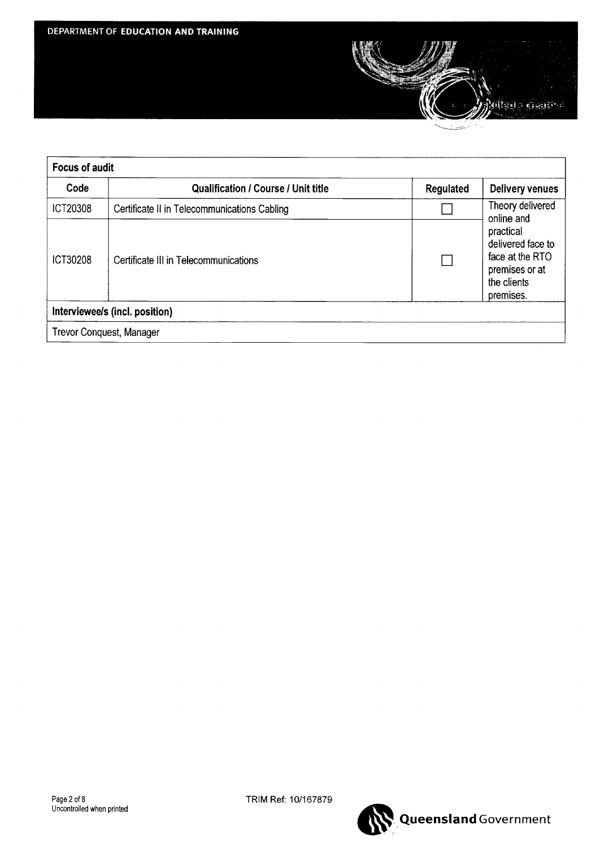

| <b>Focus of audit</b>    |                                              |           |                                                                                                               |  |
|--------------------------|----------------------------------------------|-----------|---------------------------------------------------------------------------------------------------------------|--|
| Code                     | <b>Qualification / Course / Unit title</b>   | Regulated | <b>Delivery venues</b>                                                                                        |  |
| <b>ICT20308</b>          | Certificate II in Telecommunications Cabling |           | Theory delivered                                                                                              |  |
| ICT30208                 | Certificate III in Telecommunications        |           | online and<br>practical<br>delivered face to<br>face at the RTO<br>premises or at<br>the clients<br>premises. |  |
|                          | Interviewee/s (incl. position)               |           |                                                                                                               |  |
| Trevor Conquest, Manager |                                              |           |                                                                                                               |  |

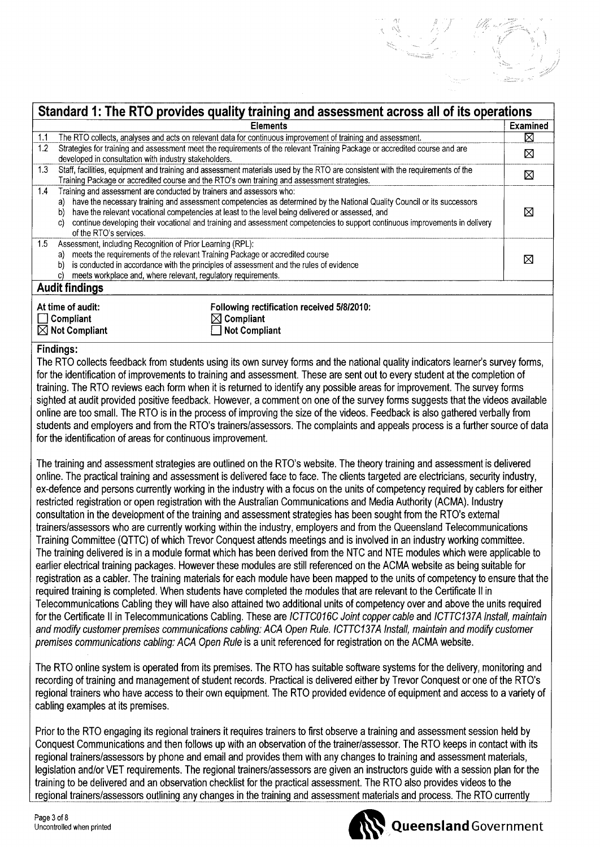|                                                                                                                                                                                                                                                                                                                          | <b>Elements</b>                                                                                                                                                                                                                                                                                                                                             | <b>Examined</b> |
|--------------------------------------------------------------------------------------------------------------------------------------------------------------------------------------------------------------------------------------------------------------------------------------------------------------------------|-------------------------------------------------------------------------------------------------------------------------------------------------------------------------------------------------------------------------------------------------------------------------------------------------------------------------------------------------------------|-----------------|
| 1.1                                                                                                                                                                                                                                                                                                                      | The RTO collects, analyses and acts on relevant data for continuous improvement of training and assessment.                                                                                                                                                                                                                                                 | ⊠               |
| 1.2 <sub>2</sub><br>developed in consultation with industry stakeholders.                                                                                                                                                                                                                                                | Strategies for training and assessment meet the requirements of the relevant Training Package or accredited course and are                                                                                                                                                                                                                                  | ⊠               |
| 1.3                                                                                                                                                                                                                                                                                                                      | Staff, facilities, equipment and training and assessment materials used by the RTO are consistent with the requirements of the<br>Training Package or accredited course and the RTO's own training and assessment strategies.                                                                                                                               | ⊠               |
| 1.4<br>Training and assessment are conducted by trainers and assessors who:<br>a)<br>b)<br>C)<br>of the RTO's services.                                                                                                                                                                                                  | have the necessary training and assessment competencies as determined by the National Quality Council or its successors<br>have the relevant vocational competencies at least to the level being delivered or assessed, and<br>continue developing their vocational and training and assessment competencies to support continuous improvements in delivery | ⊠               |
| 1.5<br>Assessment, including Recognition of Prior Learning (RPL):<br>meets the requirements of the relevant Training Package or accredited course<br>a)<br>is conducted in accordance with the principles of assessment and the rules of evidence<br>b)<br>meets workplace and, where relevant, regulatory requirements. |                                                                                                                                                                                                                                                                                                                                                             | ⊠               |
| <b>Audit findings</b>                                                                                                                                                                                                                                                                                                    |                                                                                                                                                                                                                                                                                                                                                             |                 |
| At time of audit:<br>$\Box$ Compliant<br>$\boxtimes$ Not Compliant                                                                                                                                                                                                                                                       | Following rectification received 5/8/2010:<br>$\boxtimes$ Compliant<br><b>Not Compliant</b>                                                                                                                                                                                                                                                                 |                 |

The RTO collects feedback from students using its own survey forms and the national quality indicators learner's survey forms, for the identification of improvements to training and assessment. These are sent out to every student at the completion of training. The RTO reviews each form when it is returned to identify any possible areas for improvement. The survey forms sighted at audit provided positive feedback. However, a comment on one of the survey forms suggests that the videos available online are too small. The RTO is in the process of improving the size of the videos. Feedback is also gathered verbally from students and employers and from the RTO's trainers/assessors. The complaints and appeals process is a further source of data for the identification of areas for continuous improvement.

The training and assessment strategies are outlined on the RTO's website. The theory training and assessment is delivered online. The practical training and assessment is delivered face to face. The clients targeted are electricians, security industry, ex−defence and persons currently working in the industry with a focus on the units of competency required by cablers for either restricted registration or open registration with the Australian Communications and Media Authority (ACMA). Industry consultation in the development of the training and assessment strategies has been sought from the RTO's external trainers/assessors who are currently working within the industry, employers and from the Queensland Telecommunications Training Committee (QTTC) of which Trevor Conquest attends meetings and is involved in an industry working committee. The training delivered is in a module format which has been derived from the NTC and NTE modules which were applicable to earlier electrical training packages. However these modules are still referenced on the ACMA website as being suitable for registration as a cabler. The training materials for each module have been mapped to the units of competency to ensure that the required training is completed. When students have completed the modules that are relevant to the Certificate I in Telecommunications Cabling they will have also attained two additional units of competency over and above the units required for the Certificate I in Telecommunications Cabling. These are *ICTTC016C Joint copper cable* and *ICTTC137A Install, maintain and modify customer premises communications cabling: ACA Open Rule. ICTTC137A Install, maintain and modify customer premises communications cabling: ACA Open Rule* is a unit referenced for registration on the ACMA website.

The RTO online system is operated from its premises. The RTO has suitable software systems for the delivery, monitoring and recording of training and management of student records. Practical is delivered either by Trevor Conquest or one of the RTO's regional trainers who have access to their own equipment. The RTO provided evidence of equipment and access to a variety of cabling examples at its premises.

Prior to the RTO engaging its regional trainers it requires trainers to first observe a training and assessment session held by Conquest Communications and then follows up with an observation of the trainer/assessor. The RTO keeps in contact with its regional trainers/assessors by phone and email and provides them with any changes to training and assessment materials, legislation and/or VET requirements. The regional trainers/assessors are given an instructors guide with a session plan for the training to be delivered and an observation checklist for the practical assessment. The RTO also provides videos to the regional trainers/assessors outlining any changes in the training. and assessment materials and process. The RTO currently



# **Queensland** Government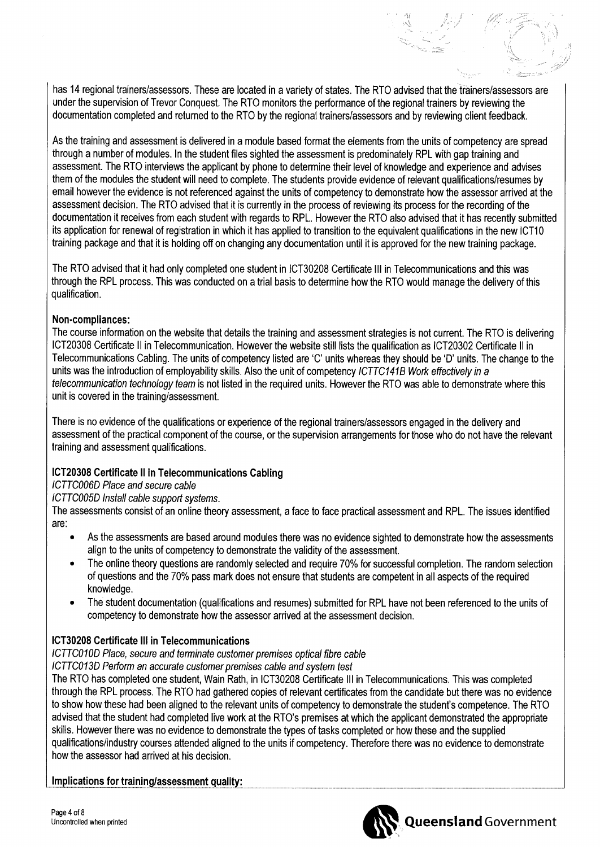has 14 regional trainers/assessors. These are located in a variety of states. The RTO advised that the trainers/assessors are under the supervision of Trevor Conquest. The RIO monitors the performance of the regional trainers by reviewing the documentation completed and returned to the RIO by the regional trainers/assessors and by reviewing client feedback.

As the training and assessment is delivered in a module based format the elements from the units of competency are spread through a number of modules. In the student files sighted the assessment is predominately RPL with gap training and assessment. The RTO interviews the applicant by phone to determine their level of knowledge and experience and advises them of the modules the student will need to complete. The students provide evidence of relevant qualifications/resumes by email however the evidence is not referenced against the units of competency to demonstrate how the assessor arrived at the assessment decision. The RIO advised that it is currently in the process of reviewing its process for the recording of the documentation it receives from each student with regards to RPL. However the RIO also advised that it has recently submitted its application for renewal of registration in which it has applied to transition to the equivalent qualifications in the new ICT10 training package and that it is holding off on changing any documentation until it is approved for the new training package.

The RIO advised that it had only completed one student in ICT30208 Certificate III in Telecommunications and this was through the RPL process. This was conducted on a trial basis to determine how the RTO would manage the delivery of this qualification.

## **Non−compliances:**

The course information on the website that details the training and assessment strategies is not current. The RTO is delivering ICT20308 Certificate II in Telecommunication. However the website still lists the qualification as ICT20302 Certificate II in Telecommunications Cabling. The units of competency listed are 'C' units whereas they should be 'D' units. The change to the units was the introduction of employability skills. Also the unit of competency *ICTTC141E3 Work effectively in a telecommunication technology team* is not listed in the required units. However the RIO was able to demonstrate where this unit is covered in the training/assessment.

There is no evidence of the qualifications or experience of the regional trainers/assessors engaged in the delivery and assessment of the practical component of the course, or the supervision arrangements for those who do not have the relevant training and assessment qualifications.

## **ICT20308 Certificate l in Telecommunications Cabling**

*ICTTC006D Place and secure cable*

*ICTTC005D Install cable support systems.*

The assessments consist of an online theory assessment, a face to face practical assessment and RPL. The issues identified are:

- As the assessments are based around modules there was no evidence sighted to demonstrate how the assessments align to the units of competency to demonstrate the validity of the assessment.
- The online theory questions are randomly selected and require 70% for successful completion. The random selection of questions and the 70% pass mark does not ensure that students are competent in all aspects of the required knowledge.
- The student documentation (qualifications and resumes) submitted for RPL have not been referenced to the units of competency to demonstrate how the assessor arrived at the assessment decision.

# **ICT30208 Certificate III in Telecommunications**

*ICTTC010D Place, secure and terminate customer premises optical fibre cable*

*ICTTC013D Perform an accurate customer premises cable and system test*

The RIO has completed one student, Wain Rath, in ICT30208 Certificate III in Telecommunications. This was completed through the RPL process. The RIO had gathered copies of relevant certificates from the candidate but there was no evidence to show how these had been aligned to the relevant units of competency to demonstrate the student's competence. The RIO advised that the student had completed live work at the RTO's premises at which the applicant demonstrated the appropriate skills. However there was no evidence to demonstrate the types of tasks completed or how these and the supplied qualifications/industry courses attended aligned to the units if competency. Therefore there was no evidence to demonstrate how the assessor had arrived at his decision.

## **Implications for training/assessment quality:**



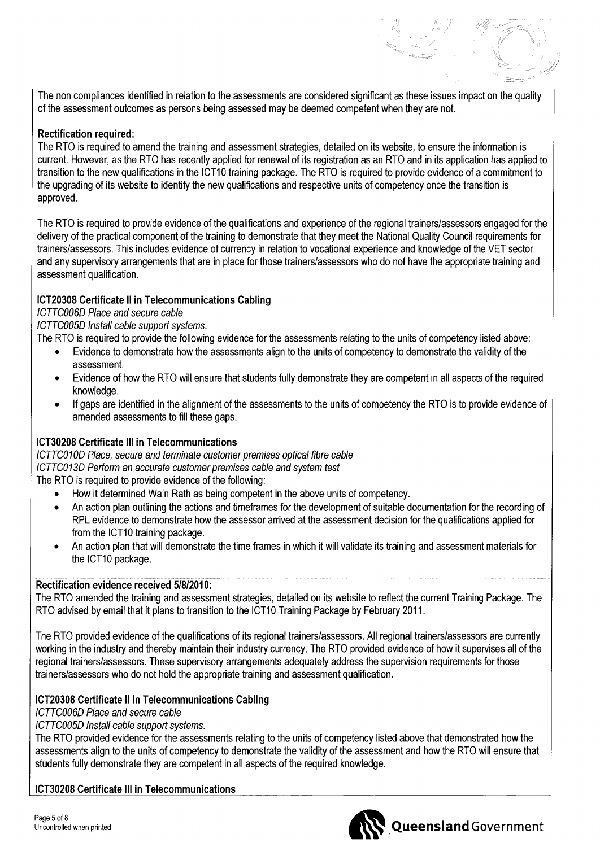The non compliances identified in relation to the assessments are considered significant as these issues impact on the quality of the assessment outcomes as persons being assessed may be deemed competent when they are not.

## **Rectification required:**

The RTO is required to amend the training and assessment strategies, detailed on its website, to ensure the information is current. However, as the RTO has recently applied for renewal of its registration as an RTO and in its application has applied to transition to the new qualifications in the ICT10 training package. The RTO is required to provide evidence of a commitment to the upgrading of its website to identify the new qualifications and respective units of competency once the transition is approved.

The RTO is required to provide evidence of the qualifications and experience of the regional trainers/assessors engaged for the delivery of the practical component of the training to demonstrate that they meet the National Quality Council requirements for trainers/assessors. This includes evidence of currency in relation to vocational experience and knowledge of the VET sector and any supervisory arrangements that are in place for those trainers/assessors who do not have the appropriate training and assessment qualification.

## **ICT20308 Certificate ll in Telecommunications Cabling**

*ICTTC006D Place and secure cable*

*ICTTC005D Install cable support systems.*

The RTO is required to provide the following evidence for the assessments relating to the units of competency listed above:

- Evidence to demonstrate how the assessments align to the units of competency to demonstrate the validity of the assessment.
- Evidence of how the RTO will ensure that students fully demonstrate they are competent in all aspects of the required knowledge.
- If gaps are identified in the alignment of the assessments to the units of competency the RTO is to provide evidence of amended assessments to fill these gaps.

# **ICT30208 Certificate III in Telecommunications**

*ICTTC010D Place, secure and terminate customer premises optical fibre cable ICTTC013D Perform an accurate customer premises cable and system test* The RTO is required to provide evidence of the following:

- How it determined Wain Rath as being competent in the above units of competency.
- An action plan outlining the actions and timeframes for the development of suitable documentation for the recording of RPL evidence to demonstrate how the assessor arrived at the assessment decision for the qualifications applied for from the ICT10 training package.
- An action plan that will demonstrate the time frames in which it will validate its training and assessment materials for the ICT10 package.

## **Rectification evidence received 5/8/2010:**

The RTO amended the training and assessment strategies, detailed on its website to reflect the current Training Package. The RTO advised by email that it plans to transition to the CT10 Training Package by February 2011.

The RTO provided evidence of the qualifications of its regional trainers/assessors. All regional trainers/assessors are currently working in the industry and thereby maintain their industry currency. The RTO provided evidence of how it supervises all of the regional trainers/assessors. These supervisory arrangements adequately address the supervision requirements for those trainers/assessors who do not hold the appropriate training and assessment qualification.

# **ICT20308 Certificate l in Telecommunications Cabling**

*ICTTC006D Place and secure cable*

## *ICTTC005D Install cable support systems.*

The RTO provided evidence for the assessments relating to the units of competency listed above that demonstrated how the assessments align to the units of competency to demonstrate the validity of the assessment and how the RTO will ensure that students fully demonstrate they are competent in all aspects of the required knowledge.

## **ICT30208 Certificate III in Telecommunications**

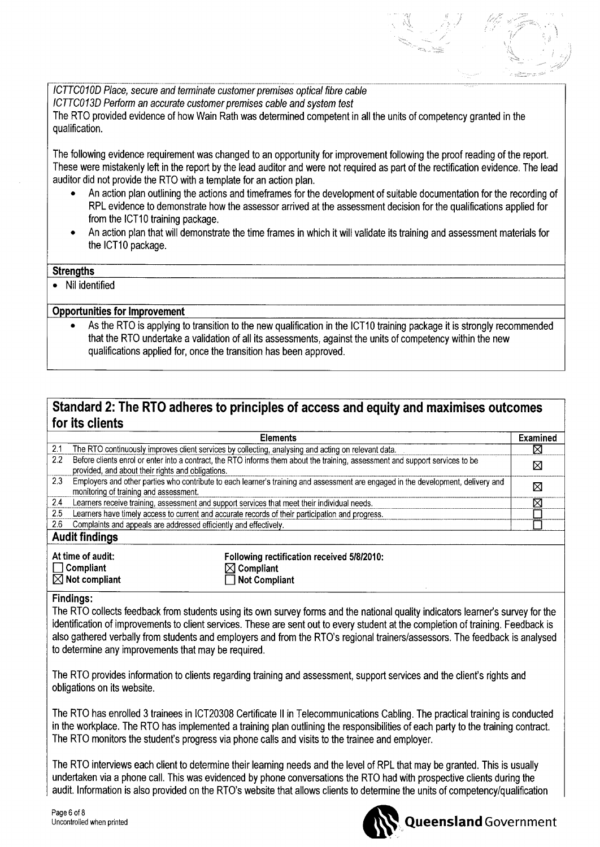*ICTTC010D Place, secure and terminate customer premises optical fibre cable ICTTC013D Perform an accurate customer premises cable and system test* The RTO provided evidence of how Wain Rath was determined competent in all the units of competency granted in the qualification.

The following evidence requirement was changed to an opportunity for improvement following the proof reading of the report. These were mistakenly left in the report by the lead auditor and were not required as part of the rectification evidence. The lead auditor did not provide the RTO with a template for an action plan.

- An action plan outlining the actions and timeframes for the development of suitable documentation for the recording of RPL evidence to demonstrate how the assessor arrived at the assessment decision for the qualifications applied for from the ICT10 training package.
- An action plan that will demonstrate the time frames in which it will validate its training and assessment materials for the ICT10 package.

### **Strengths**

• Nil identified

## **Opportunities for Improvement**

As the RTO is applying to transition to the new qualification in the ICT10 training package it is strongly recommended that the RTO undertake a validation of all its assessments, against the units of competency within the new qualifications applied for, once the transition has been approved.

# **Standard 2: The RTO adheres to principles of access and equity and maximises outcomes for its clients**

|                       | <b>Elements</b>                                                                                                                                                                    | Examined |
|-----------------------|------------------------------------------------------------------------------------------------------------------------------------------------------------------------------------|----------|
| 2.1                   | The RTO continuously improves client services by collecting, analysing and acting on relevant data.                                                                                | ⊠        |
| 2.2                   | Before clients enrol or enter into a contract, the RTO informs them about the training, assessment and support services to be<br>provided, and about their rights and obligations. | ⊠        |
| 2.3                   | Employers and other parties who contribute to each learner's training and assessment are engaged in the development, delivery and<br>monitoring of training and assessment.        | ⊠        |
| 2.4                   | Learners receive training, assessment and support services that meet their individual needs.                                                                                       | ⊠        |
| 2.5                   | Learners have timely access to current and accurate records of their participation and progress.                                                                                   |          |
| 2.6                   | Complaints and appeals are addressed efficiently and effectively.                                                                                                                  |          |
| <b>Audit findings</b> |                                                                                                                                                                                    |          |
|                       | Addison of cooling                                                                                                                                                                 |          |

| At time of audit:         | Following rectification received 5/8/2010: |
|---------------------------|--------------------------------------------|
| $\Box$ Compliant          | $\boxtimes$ Compliant                      |
| $\boxtimes$ Not compliant | Not Compliant                              |

#### **Findings:**

The RTO collects feedback from students using its own survey forms and the national quality indicators learner's survey for the identification of improvements to client services. These are sent out to every student at the completion of training. Feedback is also gathered verbally from students and employers and from the RTO's regional trainers/assessors. The feedback is analysed to determine any improvements that may be required.

The RTO provides information to clients regarding training and assessment, support services and the client's rights and obligations on its website.

The RTO has enrolled 3 trainees in ICT20308 Certificate II in Telecommunications Cabling. The practical training is conducted in the workplace. The RTO has implemented a training plan outlining the responsibilities of each party to the training contract. The RTO monitors the student's progress via phone calls and visits to the trainee and employer.

The RTO interviews each client to determine their learning needs and the level of RPL that may be granted. This is usually undertaken via a phone call. This was evidenced by phone conversations the RTO had with prospective clients during the audit. Information is also provided on the RTO's website that allows clients to determine the units of competency/qualification

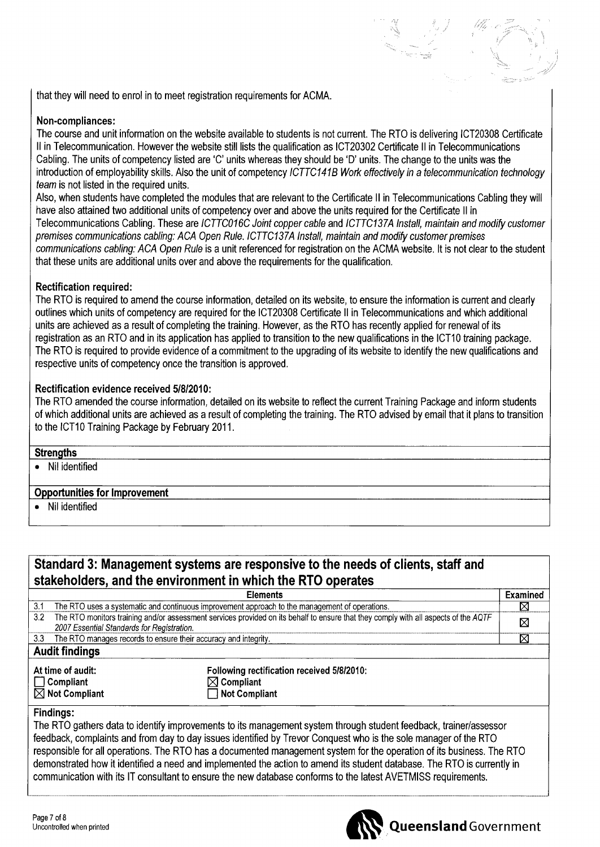that they will need to enrol in to meet registration requirements for ACMA.

# **Non−compliances:**

The course and unit information on the website available to students is not current. The RTO is delivering ICT20308 Certificate II in Telecommunication. However the website still lists the qualification as ICT20302 Certificate II in Telecommunications Cabling. The units of competency listed are 'C' units whereas they should be 'D' units. The change to the units was the introduction of employability skills. Also the unit of competency *ICTTC1418 Work effectively in a telecommunication technology team* is not listed in the required units.

Also, when students have completed the modules that are relevant to the Certificate II in Telecommunications Cabling they will have also attained two additional units of competency over and above the units required for the Certificate II in Telecommunications Cabling. These are *ICTTC016C Joint copper cable* and *1CTTC137A Install, maintain and modify customer premises communications cabling: ACA Open Rule. ICTTC137A Install, maintain and modify customer premises communications cabling: ACA Open Rule* is a unit referenced for registration on the ACMA website. It is not clear to the student that these units are additional units over and above the requirements for the qualification.

# **Rectification required:**

The RTO is required to amend the course information, detailed on its website, to ensure the information is current and clearly outlines which units of competency are required for the ICT20308 Certificate II in Telecommunications and which additional units are achieved as a result of completing the training. However, as the RTO has recently applied for renewal of its registration as an RTO and in its application has applied to transition to the new qualifications in the ICT10 training package. The RTO is required to provide evidence of a commitment to the upgrading of its website to identify the new qualifications and respective units of competency once the transition is approved.

## **Rectification evidence received 5/8/2010:**

The RTO amended the course information, detailed on its website to reflect the current Training Package and inform students of which additional units are achieved as a result of completing the training. The RTO advised by email that it plans to transition to the ICT10 Training Package by February 2011.

## **Strengths**

• Nil identified

## **Opportunities for Improvement**

• Nil identified

# **Standard 3: Management systems are responsive to the needs of clients, staff and stakeholders, and the environment in which the RTO operates**

|                                                                                                                                            | <b>Elements</b>                                                                                               | <b>Examined</b> |
|--------------------------------------------------------------------------------------------------------------------------------------------|---------------------------------------------------------------------------------------------------------------|-----------------|
| The RTO uses a systematic and continuous improvement approach to the management of operations.<br>3.1                                      |                                                                                                               | ⊠               |
| The RTO monitors training and/or assessment services provided on its behalf to ensure that they comply with all aspects of the AQTF<br>3.2 |                                                                                                               | ⊠               |
| 2007 Essential Standards for Registration.                                                                                                 |                                                                                                               |                 |
| 3.3 The RTO manages records to ensure their accuracy and integrity.                                                                        |                                                                                                               | ⊠               |
| <b>Audit findings</b>                                                                                                                      |                                                                                                               |                 |
| At time of audit:<br>$\Box$ Compliant<br>$\boxtimes$ Not Compliant                                                                         | Following rectification received 5/8/2010:<br>$\boxtimes$ Compliant<br>$\overline{\phantom{a}}$ Not Compliant |                 |
|                                                                                                                                            |                                                                                                               |                 |

## **Findings:**

The RTO gathers data to identify improvements to its management system through student feedback, trainer/assessor feedback, complaints and from day to day issues identified by Trevor Conquest who is the sole manager of the RTO responsible for all operations. The RTO has a documented management system for the operation of its business. The RTO demonstrated how it identified a need and implemented the action to amend its student database. The RTO is currently in communication with its IT consultant to ensure the new database conforms to the latest AVETMISS requirements.